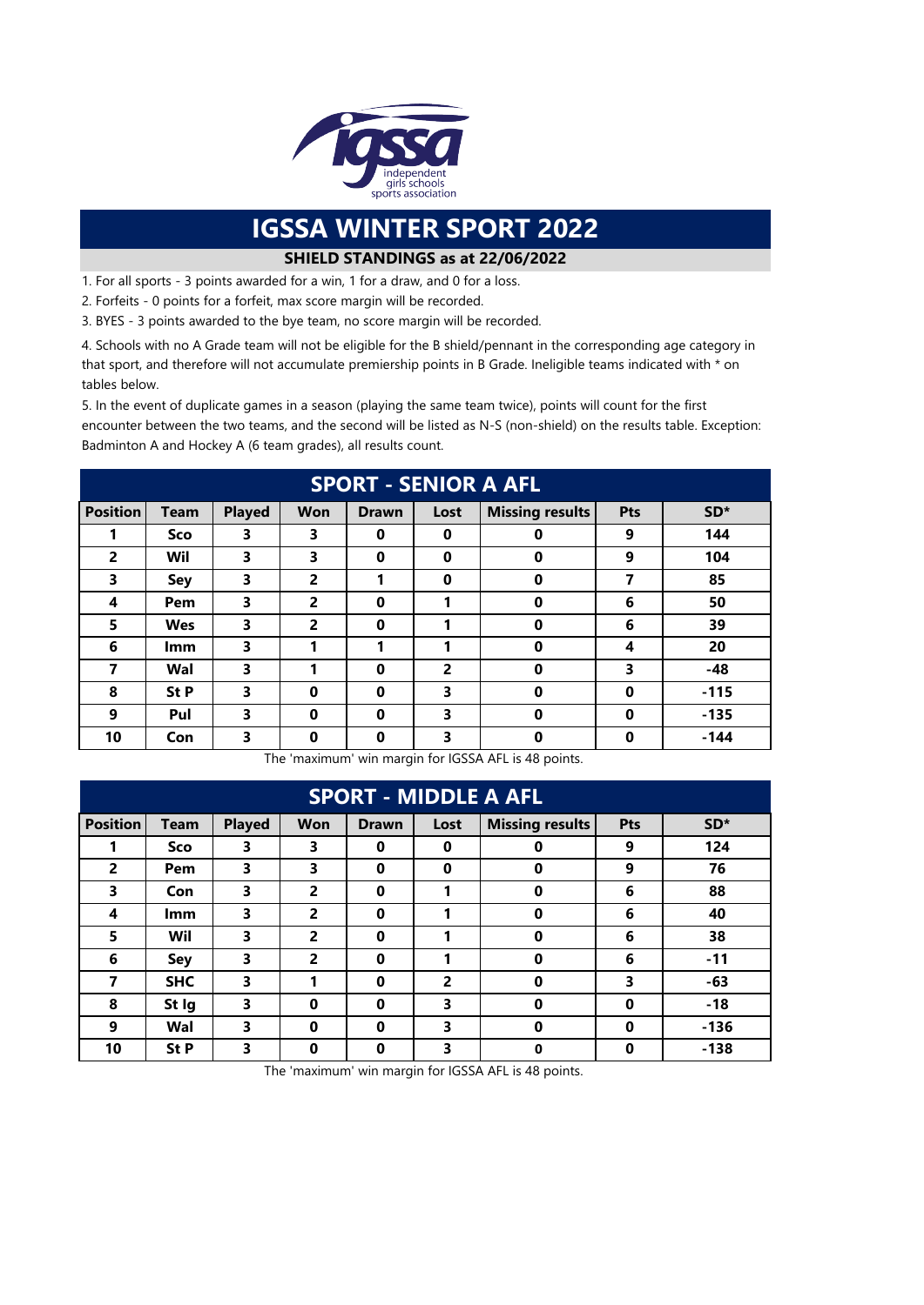

## **IGSSA WINTER SPORT 2022**

## **SHIELD STANDINGS as at 22/06/2022**

1. For all sports - 3 points awarded for a win, 1 for a draw, and 0 for a loss.

2. Forfeits - 0 points for a forfeit, max score margin will be recorded.

3. BYES - 3 points awarded to the bye team, no score margin will be recorded.

4. Schools with no A Grade team will not be eligible for the B shield/pennant in the corresponding age category in that sport, and therefore will not accumulate premiership points in B Grade. Ineligible teams indicated with \* on tables below.

5. In the event of duplicate games in a season (playing the same team twice), points will count for the first encounter between the two teams, and the second will be listed as N-S (non-shield) on the results table. Exception: Badminton A and Hockey A (6 team grades), all results count.

| <b>SPORT - SENIOR A AFL</b> |             |               |                |              |                |                        |     |        |  |  |
|-----------------------------|-------------|---------------|----------------|--------------|----------------|------------------------|-----|--------|--|--|
| <b>Position</b>             | <b>Team</b> | <b>Played</b> | <b>Won</b>     | <b>Drawn</b> | Lost           | <b>Missing results</b> | Pts | $SD*$  |  |  |
|                             | <b>Sco</b>  | 3             | 3              | 0            | 0              | 0                      | 9   | 144    |  |  |
| $\overline{2}$              | Wil         | 3             | 3              | 0            | 0              | 0                      | 9   | 104    |  |  |
| 3                           | Sey         | 3             | 2              | 1            | $\bf{0}$       | $\mathbf 0$            | 7   | 85     |  |  |
| 4                           | Pem         | 3             | 2              | 0            | 1              | 0                      | 6   | 50     |  |  |
| 5                           | <b>Wes</b>  | 3             | $\overline{2}$ | $\bf{0}$     | 1              | 0                      | 6   | 39     |  |  |
| 6                           | <b>Imm</b>  | 3             |                | 1            | 1              | 0                      | 4   | 20     |  |  |
| 7                           | Wal         | 3             |                | $\bf{0}$     | $\overline{2}$ | $\bf{0}$               | 3   | -48    |  |  |
| 8                           | St P        | 3             | 0              | $\bf{0}$     | 3              | $\bf{0}$               | 0   | $-115$ |  |  |
| 9                           | Pul         | 3             | $\bf{0}$       | $\bf{0}$     | 3              | 0                      | 0   | $-135$ |  |  |
| 10                          | Con         | 3             | $\bf{0}$       | $\bf{0}$     | 3              | 0                      | 0   | $-144$ |  |  |

The 'maximum' win margin for IGSSA AFL is 48 points.

| <b>SPORT - MIDDLE A AFL</b> |             |               |                |              |                |                        |            |        |  |  |
|-----------------------------|-------------|---------------|----------------|--------------|----------------|------------------------|------------|--------|--|--|
| <b>Position</b>             | <b>Team</b> | <b>Played</b> | <b>Won</b>     | <b>Drawn</b> | Lost           | <b>Missing results</b> | <b>Pts</b> | $SD*$  |  |  |
|                             | Sco         | 3             | 3              | 0            | 0              | 0                      | 9          | 124    |  |  |
| $\overline{2}$              | Pem         | 3             | 3              | 0            | $\bf{0}$       | $\bf{0}$               | 9          | 76     |  |  |
| 3                           | Con         | 3             | $\overline{2}$ | 0            | 1              | $\mathbf 0$            | 6          | 88     |  |  |
| 4                           | Imm         | 3             | $\overline{2}$ | $\bf{0}$     | 1              | $\mathbf 0$            | 6          | 40     |  |  |
| 5                           | Wil         | 3             | 2              | 0            | 1              | $\mathbf 0$            | 6          | 38     |  |  |
| 6                           | Sey         | 3             | 2              | $\bf{0}$     | 1              | $\mathbf 0$            | 6          | $-11$  |  |  |
| 7                           | <b>SHC</b>  | 3             |                | $\bf{0}$     | $\overline{2}$ | $\mathbf 0$            | 3          | $-63$  |  |  |
| 8                           | St Ig       | 3             | $\bf{0}$       | $\bf{0}$     | 3              | $\mathbf 0$            | $\bf{0}$   | $-18$  |  |  |
| 9                           | Wal         | 3             | $\bf{0}$       | $\bf{0}$     | 3              | $\mathbf 0$            | $\bf{0}$   | $-136$ |  |  |
| 10                          | St P        | 3             | 0              | 0            | 3              | $\bf{0}$               | 0          | $-138$ |  |  |

The 'maximum' win margin for IGSSA AFL is 48 points.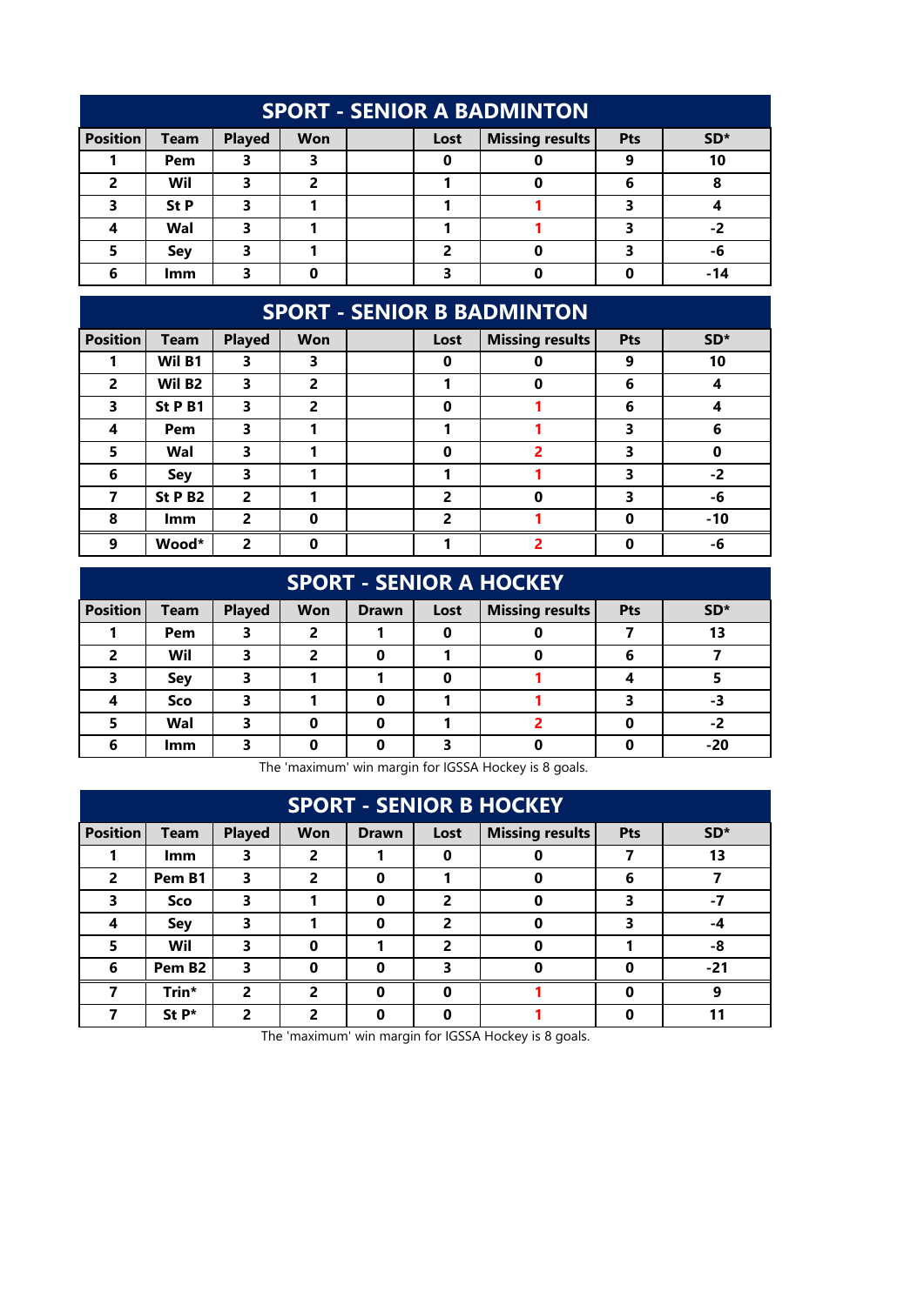| <b>SPORT - SENIOR A BADMINTON</b>                                                                                      |      |   |   |  |   |  |   |     |  |  |
|------------------------------------------------------------------------------------------------------------------------|------|---|---|--|---|--|---|-----|--|--|
| <b>Position</b><br><b>Missing results</b><br><b>Team</b><br><b>Played</b><br><b>Won</b><br>$SD*$<br><b>Pts</b><br>Lost |      |   |   |  |   |  |   |     |  |  |
|                                                                                                                        | Pem  |   |   |  | Ω |  |   | 10  |  |  |
| $\overline{2}$                                                                                                         | Wil  |   | 2 |  |   |  | 6 |     |  |  |
|                                                                                                                        | St P |   |   |  |   |  |   |     |  |  |
|                                                                                                                        | Wal  | 3 |   |  |   |  |   | -2  |  |  |
|                                                                                                                        | Sey  | 3 |   |  | כ |  |   | -6  |  |  |
| 6                                                                                                                      | lmm  |   |   |  |   |  |   | -14 |  |  |

## **SPORT - SENIOR B BADMINTON**

| <b>Position</b> | <b>Team</b>        | <b>Played</b> | Won      | Lost           | <b>Missing results</b> | Pts | SD <sup>*</sup> |
|-----------------|--------------------|---------------|----------|----------------|------------------------|-----|-----------------|
|                 | Wil B1             | 3             | 3        | $\mathbf 0$    | 0                      | 9   | 10              |
| $\overline{2}$  | Wil B <sub>2</sub> | 3             | 2        |                | 0                      | 6   |                 |
| 3               | St P B1            | 3             | 2        | $\Omega$       |                        | 6   |                 |
| 4               | Pem                | 3             |          |                |                        |     |                 |
| 5               | Wal                | 3             |          | $\bf{0}$       |                        | 3   |                 |
| 6               | <b>Sey</b>         | 3             |          |                |                        | 3   | $-2$            |
| 7               | St P B2            | 2             |          | $\overline{2}$ | $\Omega$               | ર   | -6              |
| 8               | <b>Imm</b>         | 2             | $\Omega$ | $\overline{2}$ |                        | U   | $-10$           |
| 9               | Wood*              | 2             |          |                |                        |     | -6              |

| <b>SPORT - SENIOR A HOCKEY</b> |             |               |            |              |      |                        |            |       |  |  |
|--------------------------------|-------------|---------------|------------|--------------|------|------------------------|------------|-------|--|--|
| <b>Position</b>                | <b>Team</b> | <b>Played</b> | <b>Won</b> | <b>Drawn</b> | Lost | <b>Missing results</b> | <b>Pts</b> | $SD*$ |  |  |
|                                | Pem         | 3             | 2          |              | 0    |                        |            | 13    |  |  |
| 2                              | Wil         | 3             | 2          | 0            |      | 0                      | 6          |       |  |  |
| 3                              | Sey         | 3             |            |              | 0    |                        |            |       |  |  |
|                                | Sco         | 3             |            | 0            |      |                        |            | -3    |  |  |
| 5                              | Wal         | 3             | n          | 0            |      |                        |            | -2    |  |  |
| 6                              | lmm         | 3             |            | Ω            |      |                        |            | $-20$ |  |  |

The 'maximum' win margin for IGSSA Hockey is 8 goals.

| <b>SPORT - SENIOR B HOCKEY</b> |                    |               |            |              |                |                        |     |       |  |  |
|--------------------------------|--------------------|---------------|------------|--------------|----------------|------------------------|-----|-------|--|--|
| <b>Position</b>                | <b>Team</b>        | <b>Played</b> | <b>Won</b> | <b>Drawn</b> | Lost           | <b>Missing results</b> | Pts | $SD*$ |  |  |
|                                | lmm                | 3             | 2          |              | 0              |                        |     | 13    |  |  |
| $\overline{2}$                 | Pem B1             | 3             | 2          | 0            |                | 0                      | 6   |       |  |  |
| 3                              | Sco                | 3             |            | 0            | 2              | 0                      | 3   | -7    |  |  |
| 4                              | Sey                | 3             |            | 0            | $\overline{2}$ | $\Omega$               | 3   | -4    |  |  |
| 5                              | Wil                | 3             | 0          |              | $\overline{2}$ | 0                      |     | -8    |  |  |
| 6                              | Pem B <sub>2</sub> | 3             | ŋ          | Ω            | 3              | n                      |     | $-21$ |  |  |
|                                | Trin*              | 2             | 2          | 0            | $\Omega$       |                        |     | 9     |  |  |
|                                | $St P*$            | 2             | 2          | 0            | ŋ              |                        |     |       |  |  |

The 'maximum' win margin for IGSSA Hockey is 8 goals.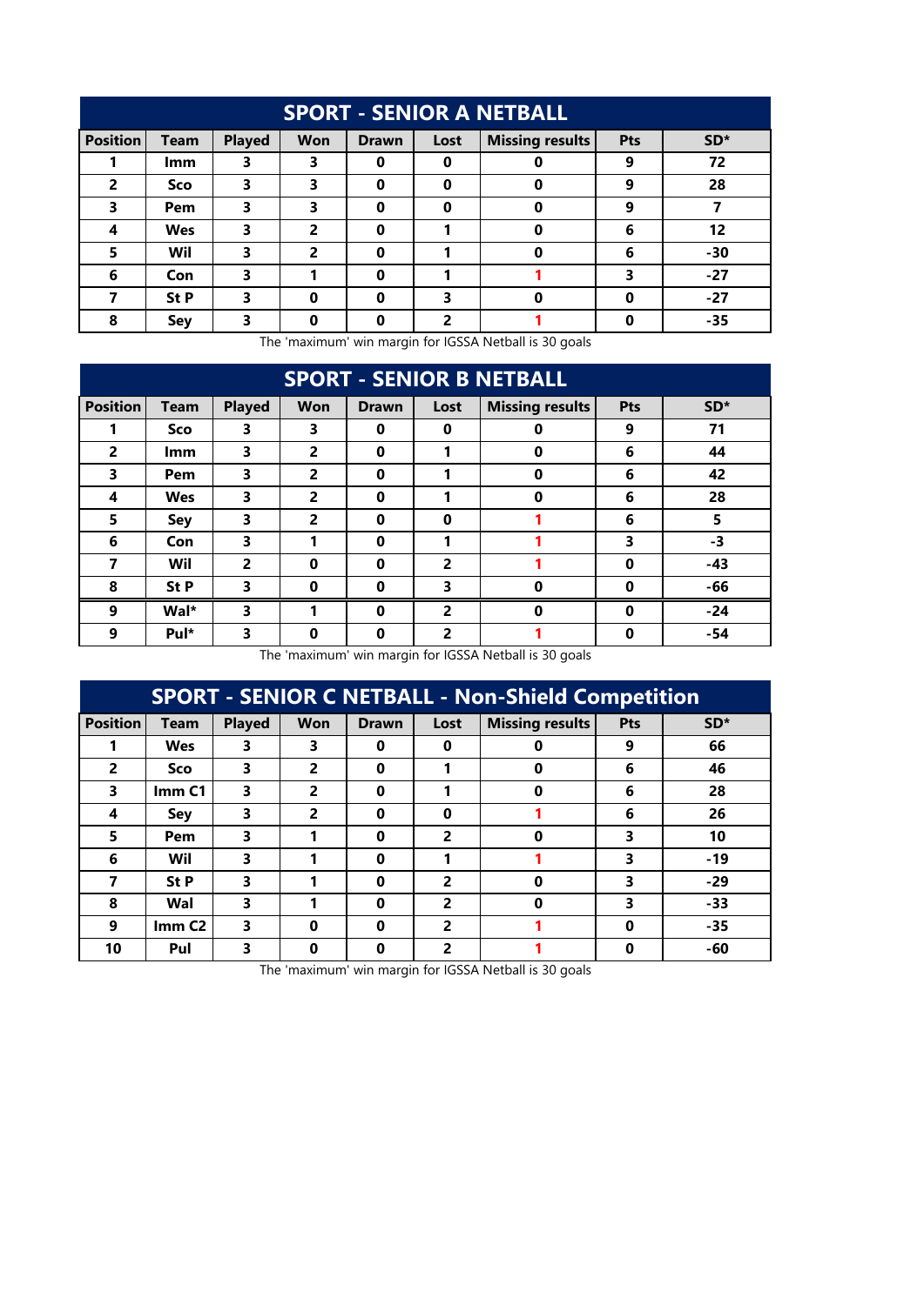| <b>SPORT - SENIOR A NETBALL</b> |             |               |            |              |                |                        |     |       |  |  |
|---------------------------------|-------------|---------------|------------|--------------|----------------|------------------------|-----|-------|--|--|
| <b>Position</b>                 | <b>Team</b> | <b>Played</b> | <b>Won</b> | <b>Drawn</b> | Lost           | <b>Missing results</b> | Pts | $SD*$ |  |  |
|                                 | lmm         | 3             | 3          | 0            | 0              | 0                      | 9   | 72    |  |  |
| $\overline{2}$                  | Sco         | 3             | 3          | 0            | $\bf{0}$       | 0                      | 9   | 28    |  |  |
| 3                               | Pem         | 3             | 3          | 0            | $\bf{0}$       | 0                      | 9   |       |  |  |
| 4                               | <b>Wes</b>  | 3             | 2          | 0            |                | 0                      | 6   | 12    |  |  |
| 5                               | Wil         | 3             | 2          | 0            |                | 0                      | 6   | -30   |  |  |
| 6                               | Con         | 3             |            | $\bf{0}$     |                |                        | 3   | $-27$ |  |  |
|                                 | St P        | 3             | 0          | 0            | 3              | 0                      | O   | $-27$ |  |  |
| 8                               | Sey         | 3             | 0          | 0            | $\overline{2}$ |                        |     | $-35$ |  |  |

| <b>SPORT - SENIOR B NETBALL</b> |             |                        |                          |                           |                                   |                        |          |                 |  |  |  |
|---------------------------------|-------------|------------------------|--------------------------|---------------------------|-----------------------------------|------------------------|----------|-----------------|--|--|--|
| <b>Position</b>                 | <b>Team</b> | <b>Played</b>          | <b>Won</b>               | <b>Drawn</b>              | Lost                              | <b>Missing results</b> | Pts      | SD <sup>*</sup> |  |  |  |
|                                 | Sco         | 3                      | 3                        | 0                         | $\bf{0}$                          | 0                      | 9        | 71              |  |  |  |
| $\overline{2}$                  | <b>Imm</b>  | 3                      | $\overline{2}$           | $\bf{0}$                  |                                   | 0                      | 6        | 44              |  |  |  |
| 3                               | Pem         | 3                      | 2                        | 0                         |                                   | 0                      | 6        | 42              |  |  |  |
| 4                               | <b>Wes</b>  | 3                      | 2                        | 0                         |                                   | 0                      | 6        | 28              |  |  |  |
| 5                               | <b>Sey</b>  | 3                      | 2                        | 0                         | $\bf{0}$                          |                        | 6        | 5               |  |  |  |
| 6                               | Con         | 3                      |                          | 0                         |                                   |                        | 3        | -3              |  |  |  |
| 7                               | Wil         | 2                      | 0                        | 0                         | 2                                 |                        | 0        | -43             |  |  |  |
| 8                               | St P        | 3                      | $\mathbf 0$              | 0                         | 3                                 | $\bf{0}$               | 0        | -66             |  |  |  |
| 9                               | Wal*        | 3                      |                          | $\bf{0}$                  | $\overline{2}$                    | $\bf{0}$               | $\bf{0}$ | $-24$           |  |  |  |
| 9                               | Pul*        | 3<br>$\sim$ 1.1 $\sim$ | 0<br>$\bullet$<br>$\sim$ | $\bf{0}$<br>$\sim$ $\sim$ | $\overline{2}$<br>$\cdot$ $\cdot$ | $10000 \pm 1111$       | 0        | -54             |  |  |  |

The 'maximum' win margin for IGSSA Netball is 30 goals

| <b>SPORT - SENIOR C NETBALL - Non-Shield Competition</b> |                   |               |                |              |          |                        |     |       |  |  |
|----------------------------------------------------------|-------------------|---------------|----------------|--------------|----------|------------------------|-----|-------|--|--|
| <b>Position</b>                                          | <b>Team</b>       | <b>Played</b> | <b>Won</b>     | <b>Drawn</b> | Lost     | <b>Missing results</b> | Pts | $SD*$ |  |  |
|                                                          | <b>Wes</b>        | 3             | 3              | 0            | $\Omega$ | 0                      | 9   | 66    |  |  |
| 2                                                        | Sco               | 3             | 2              | 0            | 1        | $\bf{0}$               | 6   | 46    |  |  |
| 3                                                        | Imm <sub>C1</sub> | 3             | 2              | 0            | 1        | $\bf{0}$               | 6   | 28    |  |  |
| 4                                                        | Sey               | 3             | $\overline{2}$ | 0            | $\bf{0}$ |                        | 6   | 26    |  |  |
| 5                                                        | Pem               | 3             |                | 0            | 2        | $\mathbf 0$            | 3   | 10    |  |  |
| 6                                                        | Wil               | 3             |                | 0            | 1        |                        | 3   | $-19$ |  |  |
| 7                                                        | St P              | 3             |                | $\mathbf 0$  | 2        | $\Omega$               | 3   | $-29$ |  |  |
| 8                                                        | Wal               | 3             |                | 0            | 2        | $\Omega$               | 3   | -33   |  |  |
| 9                                                        | Imm <sub>C2</sub> | 3             | $\Omega$       | 0            | 2        |                        | 0   | $-35$ |  |  |
| 10                                                       | Pul               | 3             | 0              | 0            | 2        |                        | 0   | -60   |  |  |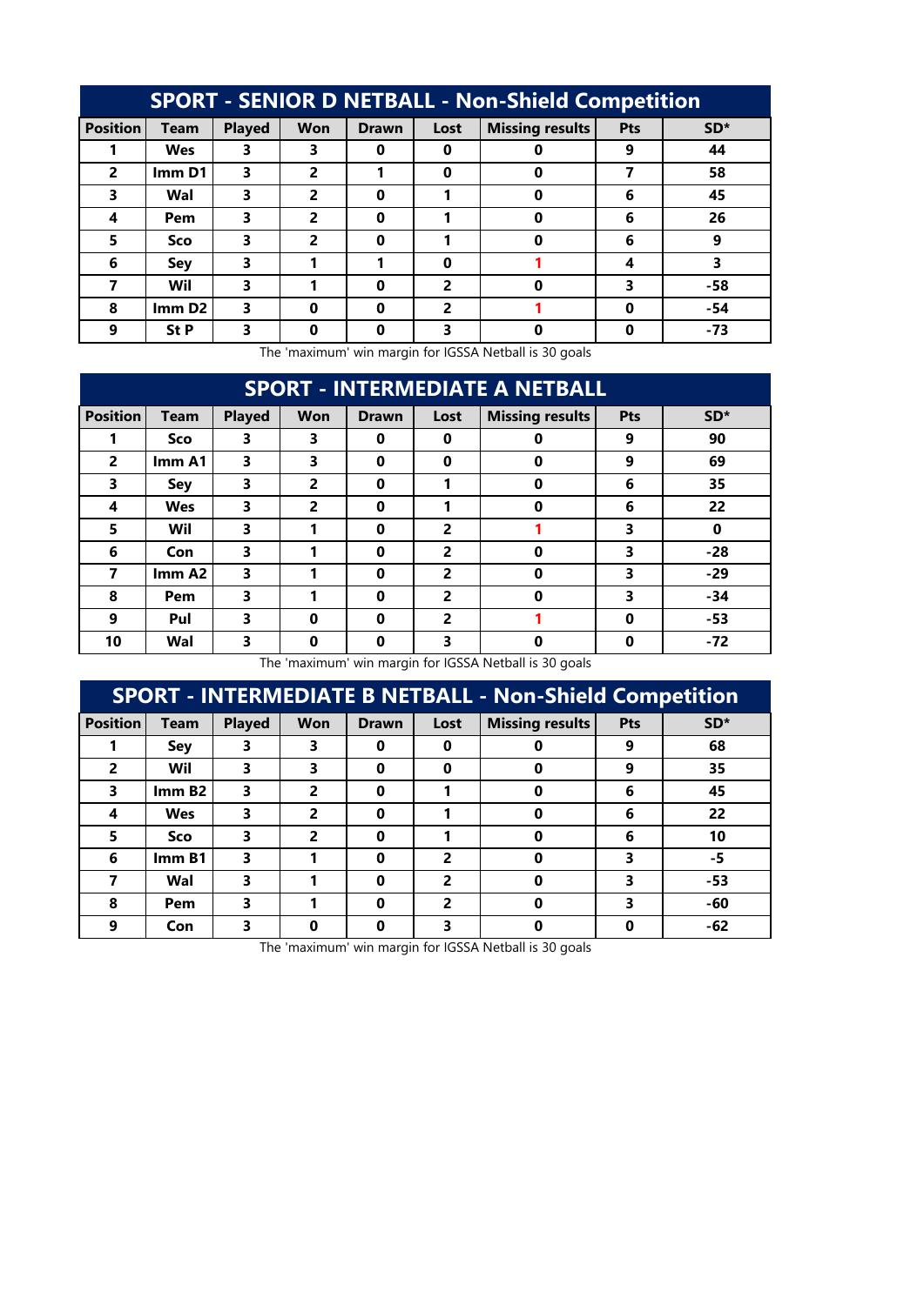| <b>SPORT - SENIOR D NETBALL - Non-Shield Competition</b> |                    |               |            |              |          |                        |     |       |  |  |
|----------------------------------------------------------|--------------------|---------------|------------|--------------|----------|------------------------|-----|-------|--|--|
| <b>Position</b>                                          | <b>Team</b>        | <b>Played</b> | <b>Won</b> | <b>Drawn</b> | Lost     | <b>Missing results</b> | Pts | $SD*$ |  |  |
|                                                          | <b>Wes</b>         | 3             | 3          | 0            | 0        |                        | 9   | 44    |  |  |
| $\overline{2}$                                           | Imm D1             | 3             | 2          |              | 0        | Ω                      |     | 58    |  |  |
| 3                                                        | Wal                | 3             | 2          | 0            |          | 0                      | 6   | 45    |  |  |
| 4                                                        | Pem                | 3             | 2          | 0            |          |                        | 6   | 26    |  |  |
| 5                                                        | <b>Sco</b>         | 3             | 2          | 0            |          | 0                      | 6   | 9     |  |  |
| 6                                                        | Sey                | 3             |            |              | $\Omega$ |                        | 4   | 3     |  |  |
| 7                                                        | Wil                | 3             |            | 0            | 2        | Ω                      | 3   | -58   |  |  |
| 8                                                        | Imm D <sub>2</sub> | 3             | 0          | 0            | 2        |                        | Ω   | $-54$ |  |  |
| 9                                                        | St P               | 3             |            |              | 3        |                        |     | $-73$ |  |  |

| <b>SPORT - INTERMEDIATE A NETBALL</b> |             |               |                |              |                |                        |            |          |  |  |
|---------------------------------------|-------------|---------------|----------------|--------------|----------------|------------------------|------------|----------|--|--|
| <b>Position</b>                       | <b>Team</b> | <b>Played</b> | <b>Won</b>     | <b>Drawn</b> | Lost           | <b>Missing results</b> | <b>Pts</b> | $SD*$    |  |  |
|                                       | <b>Sco</b>  | 3             | 3              | 0            | 0              | 0                      | 9          | 90       |  |  |
| $\overline{2}$                        | Imm A1      | 3             | 3              | $\bf{0}$     | $\bf{0}$       | $\bf{0}$               | 9          | 69       |  |  |
| 3                                     | Sey         | 3             | 2              | $\bf{0}$     | 1              | $\bf{0}$               | 6          | 35       |  |  |
| 4                                     | <b>Wes</b>  | 3             | $\overline{2}$ | 0            | 1              | $\mathbf 0$            | 6          | 22       |  |  |
| 5                                     | Wil         | 3             | 1              | 0            | $\overline{2}$ |                        | 3          | $\bf{0}$ |  |  |
| 6                                     | Con         | 3             |                | 0            | $\overline{2}$ | $\bf{0}$               | 3          | $-28$    |  |  |
| $\overline{\mathbf{z}}$               | Imm A2      | 3             |                | $\bf{0}$     | $\overline{2}$ | $\bf{0}$               | 3          | $-29$    |  |  |
| 8                                     | Pem         | 3             |                | $\bf{0}$     | $\overline{2}$ | $\bf{0}$               | 3          | $-34$    |  |  |
| 9                                     | Pul         | 3             | $\bf{0}$       | 0            | $\overline{2}$ |                        | $\bf{0}$   | -53      |  |  |
| 10                                    | Wal         | 3             | 0              | 0            | 3              | $\bf{0}$               | 0          | $-72$    |  |  |

The 'maximum' win margin for IGSSA Netball is 30 goals

| <b>SPORT - INTERMEDIATE B NETBALL - Non-Shield Competition</b> |             |               |            |              |                |                        |     |       |  |  |
|----------------------------------------------------------------|-------------|---------------|------------|--------------|----------------|------------------------|-----|-------|--|--|
| <b>Position</b>                                                | <b>Team</b> | <b>Played</b> | <b>Won</b> | <b>Drawn</b> | Lost           | <b>Missing results</b> | Pts | $SD*$ |  |  |
|                                                                | Sey         | 3             | 3          | 0            | 0              |                        | 9   | 68    |  |  |
| 2                                                              | Wil         | 3             | 3          | 0            | $\Omega$       | 0                      | 9   | 35    |  |  |
| 3                                                              | ImmB2       | 3             | 2          | 0            |                | 0                      | 6   | 45    |  |  |
| 4                                                              | <b>Wes</b>  | 3             | 2          | 0            |                | 0                      | 6   | 22    |  |  |
| 5                                                              | Sco         | 3             | 2          | 0            |                | 0                      | 6   | 10    |  |  |
| 6                                                              | ImmB1       | 3             |            | 0            | $\overline{2}$ | ŋ                      | 3   | -5    |  |  |
|                                                                | Wal         | 3             |            | 0            | 2              | 0                      | 3   | $-53$ |  |  |
| 8                                                              | Pem         | 3             |            | 0            | 2              | 0                      | 3   | -60   |  |  |
| 9                                                              | Con         | 3             | O          | 0            | 3              |                        |     | -62   |  |  |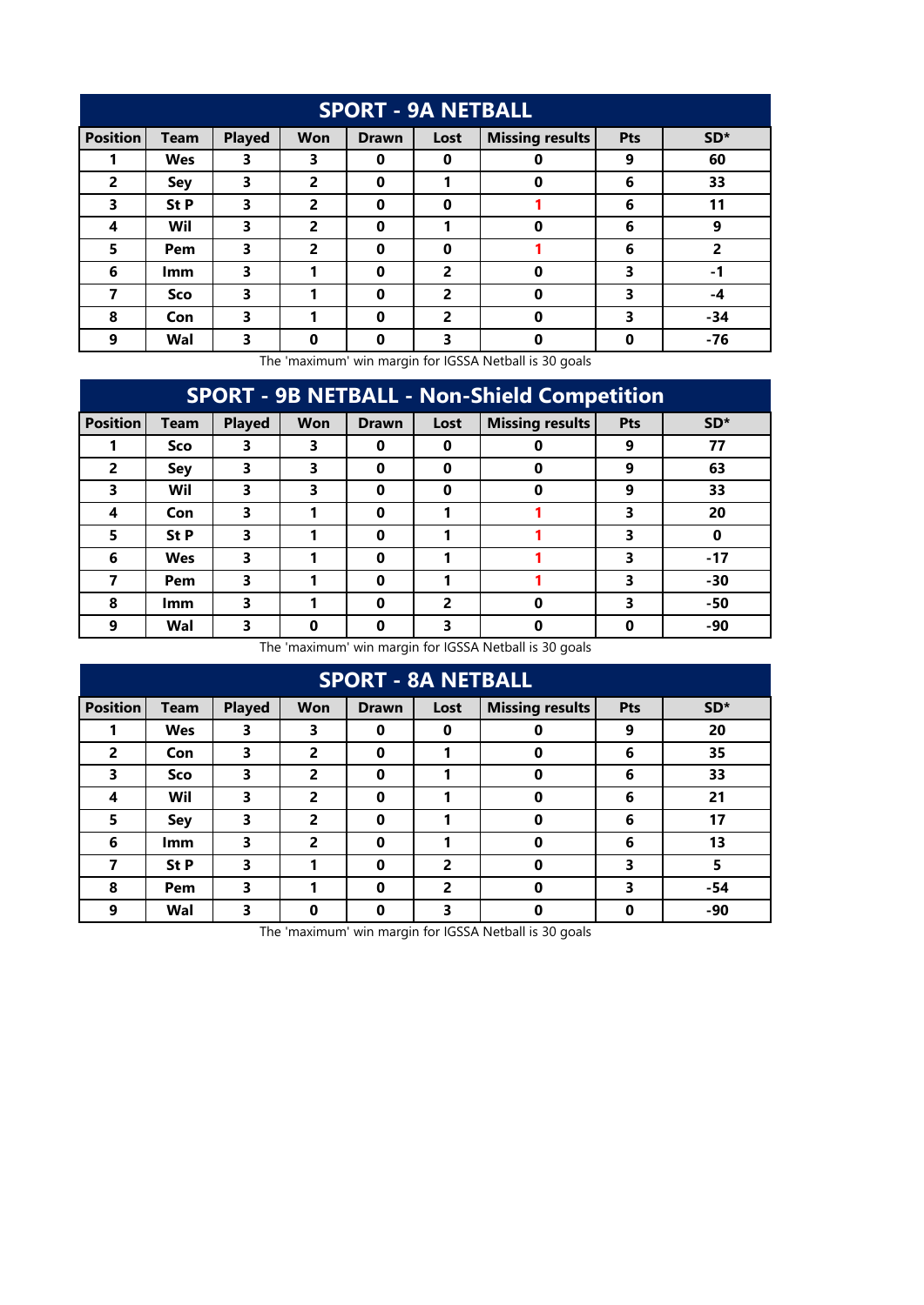| <b>SPORT - 9A NETBALL</b> |             |               |            |              |                |                        |     |                 |  |  |  |  |
|---------------------------|-------------|---------------|------------|--------------|----------------|------------------------|-----|-----------------|--|--|--|--|
| <b>Position</b>           | <b>Team</b> | <b>Played</b> | <b>Won</b> | <b>Drawn</b> | Lost           | <b>Missing results</b> | Pts | SD <sup>*</sup> |  |  |  |  |
|                           | <b>Wes</b>  | 3             | 3          | 0            | 0              | 0                      | 9   | 60              |  |  |  |  |
| $\overline{2}$            | Sey         | 3             | 2          | $\mathbf 0$  | 1              | 0                      | 6   | 33              |  |  |  |  |
| 3                         | St P        | 3             | 2          | 0            | 0              |                        | 6   | 11              |  |  |  |  |
| 4                         | Wil         | 3             | 2          | $\bf{0}$     | 1              | 0                      | 6   | 9               |  |  |  |  |
| 5                         | Pem         | 3             | 2          | 0            | 0              |                        | 6   | 2               |  |  |  |  |
| 6                         | <b>Imm</b>  | 3             |            | $\bf{0}$     | 2              | 0                      | 3   | $-1$            |  |  |  |  |
| 7                         | Sco         | 3             |            | $\bf{0}$     | $\overline{2}$ | $\bf{0}$               | 3   | -4              |  |  |  |  |
| 8                         | Con         | 3             |            | $\bf{0}$     | $\overline{2}$ | $\bf{0}$               | 3   | $-34$           |  |  |  |  |
| 9                         | Wal         | 3             | $\bf{0}$   | 0            | 3              | $\bf{0}$               | 0   | -76             |  |  |  |  |

| <b>SPORT - 9B NETBALL - Non-Shield Competition</b> |             |               |            |              |          |                        |     |       |  |  |  |  |
|----------------------------------------------------|-------------|---------------|------------|--------------|----------|------------------------|-----|-------|--|--|--|--|
| <b>Position</b>                                    | <b>Team</b> | <b>Played</b> | <b>Won</b> | <b>Drawn</b> | Lost     | <b>Missing results</b> | Pts | $SD*$ |  |  |  |  |
|                                                    | Sco         | 3             | 3          | 0            | $\Omega$ | Ω                      | 9   | 77    |  |  |  |  |
| $\overline{2}$                                     | Sey         | 3             | 3          | 0            | $\Omega$ | 0                      | 9   | 63    |  |  |  |  |
| 3                                                  | Wil         | 3             | 3          | 0            | $\bf{0}$ | 0                      | 9   | 33    |  |  |  |  |
| 4                                                  | Con         | 3             |            | 0            |          |                        | 3   | 20    |  |  |  |  |
| 5                                                  | <b>St P</b> | 3             |            | 0            |          |                        | 3   |       |  |  |  |  |
| 6                                                  | Wes         | 3             |            | 0            |          |                        | 3   | $-17$ |  |  |  |  |
| 7                                                  | Pem         | 3             |            | 0            |          |                        | 3   | $-30$ |  |  |  |  |
| 8                                                  | <b>Imm</b>  | 3             |            | $\bf{0}$     | 2        | $\Omega$               | 3   | -50   |  |  |  |  |
| 9                                                  | Wal         | 3             | Ω          | 0            | 3        | 0                      | 0   | -90   |  |  |  |  |

The 'maximum' win margin for IGSSA Netball is 30 goals

| <b>SPORT - 8A NETBALL</b> |             |               |                |              |      |                        |     |       |  |  |  |  |
|---------------------------|-------------|---------------|----------------|--------------|------|------------------------|-----|-------|--|--|--|--|
| <b>Position</b>           | <b>Team</b> | <b>Played</b> | <b>Won</b>     | <b>Drawn</b> | Lost | <b>Missing results</b> | Pts | $SD*$ |  |  |  |  |
|                           | <b>Wes</b>  | 3             | 3              | 0            | 0    | 0                      | 9   | 20    |  |  |  |  |
| $\overline{2}$            | Con         | 3             | 2              | 0            | 1    | 0                      | 6   | 35    |  |  |  |  |
| 3                         | Sco         | 3             | $\overline{2}$ | 0            | 1    | $\bf{0}$               | 6   | 33    |  |  |  |  |
| 4                         | Wil         | 3             | 2              | 0            | 1    | 0                      | 6   | 21    |  |  |  |  |
| 5                         | <b>Sey</b>  | 3             | 2              | $\bf{0}$     | 1    | 0                      | 6   | 17    |  |  |  |  |
| 6                         | <b>Imm</b>  | 3             | 2              | 0            | 1    | 0                      | 6   | 13    |  |  |  |  |
| 7                         | St P        | 3             |                | 0            | 2    | 0                      | 3   | 5     |  |  |  |  |
| 8                         | Pem         | 3             |                | 0            | 2    | $\bf{0}$               | 3   | $-54$ |  |  |  |  |
| 9                         | Wal         | 3             | 0              | 0            | 3    | 0                      | 0   | -90   |  |  |  |  |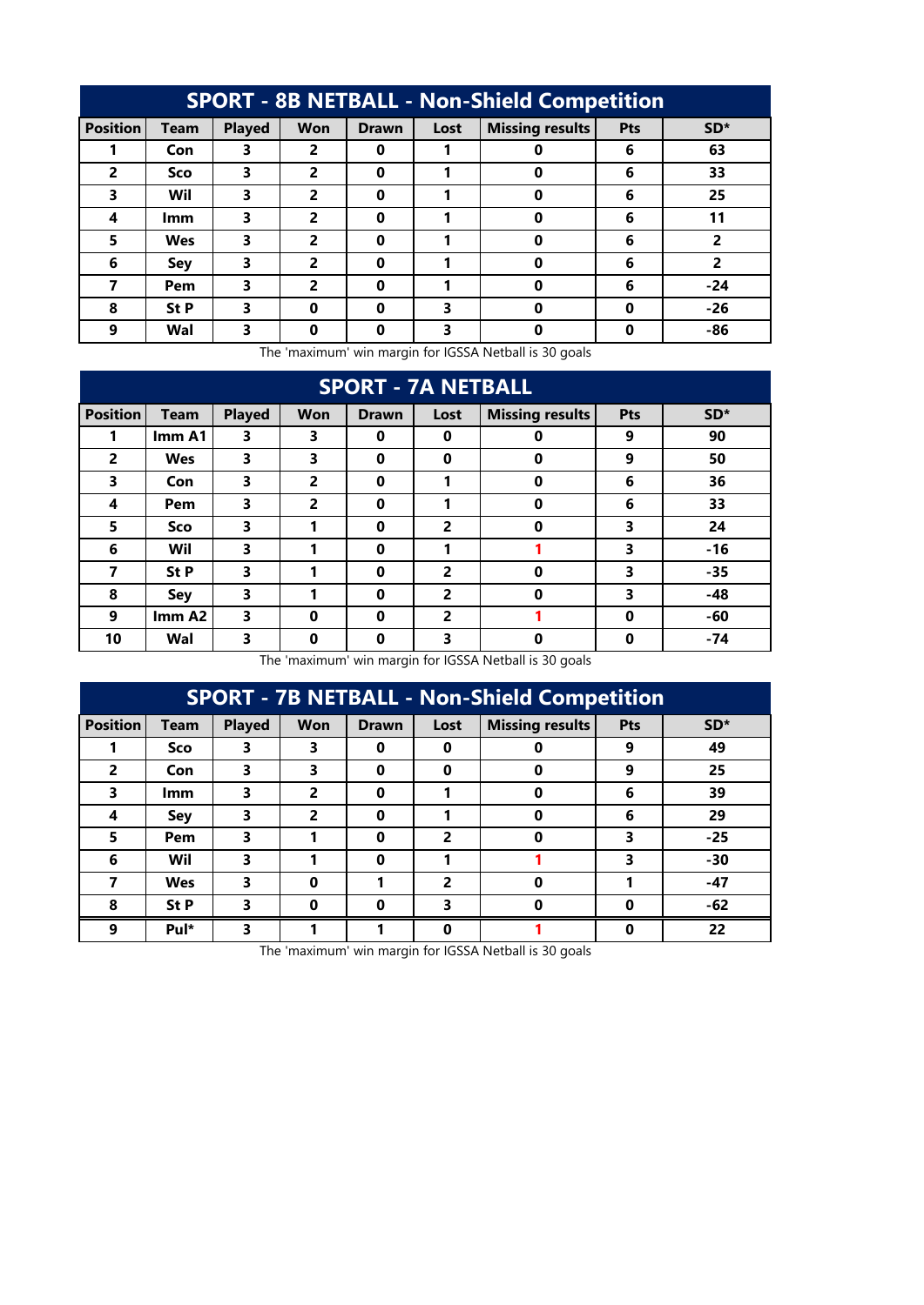| <b>SPORT - 8B NETBALL - Non-Shield Competition</b> |             |               |            |              |      |                        |     |       |  |  |  |  |
|----------------------------------------------------|-------------|---------------|------------|--------------|------|------------------------|-----|-------|--|--|--|--|
| <b>Position</b>                                    | <b>Team</b> | <b>Played</b> | <b>Won</b> | <b>Drawn</b> | Lost | <b>Missing results</b> | Pts | $SD*$ |  |  |  |  |
|                                                    | Con         | 3             | 2          | 0            |      |                        | 6   | 63    |  |  |  |  |
| $\overline{2}$                                     | Sco         | 3             | 2          | 0            |      | 0                      | 6   | 33    |  |  |  |  |
| 3                                                  | Wil         | 3             | 2          | 0            |      | Ω                      | 6   | 25    |  |  |  |  |
| 4                                                  | <b>Imm</b>  | 3             | 2          | $\bf{0}$     | 1    | 0                      | 6   | 11    |  |  |  |  |
| 5                                                  | <b>Wes</b>  | 3             | 2          | 0            |      | 0                      | 6   | 2     |  |  |  |  |
| 6                                                  | Sey         | 3             | 2          | 0            |      | 0                      | 6   | 2     |  |  |  |  |
| 7                                                  | Pem         | 3             | 2          | $\bf{0}$     |      | 0                      | 6   | $-24$ |  |  |  |  |
| 8                                                  | St P        | 3             | 0          | 0            | 3    | 0                      | 0   | $-26$ |  |  |  |  |
| 9                                                  | Wal         | 3             | Ω          | 0            | 3    | 0                      | Ω   | -86   |  |  |  |  |

| <b>SPORT - 7A NETBALL</b> |             |               |                |              |                |                        |          |       |  |  |  |  |
|---------------------------|-------------|---------------|----------------|--------------|----------------|------------------------|----------|-------|--|--|--|--|
| <b>Position</b>           | <b>Team</b> | <b>Played</b> | <b>Won</b>     | <b>Drawn</b> | Lost           | <b>Missing results</b> | Pts      | SD*   |  |  |  |  |
|                           | Imm A1      | 3             | 3              | $\mathbf 0$  | $\bf{0}$       | 0                      | 9        | 90    |  |  |  |  |
| $\overline{2}$            | <b>Wes</b>  | 3             | 3              | $\mathbf 0$  | $\bf{0}$       | $\bf{0}$               | 9        | 50    |  |  |  |  |
| 3                         | Con         | 3             | $\overline{2}$ | $\mathbf 0$  | 1              | $\bf{0}$               | 6        | 36    |  |  |  |  |
| 4                         | Pem         | 3             | $\overline{2}$ | $\mathbf 0$  | 1              | $\bf{0}$               | 6        | 33    |  |  |  |  |
| 5                         | Sco         | 3             | 1              | $\mathbf 0$  | $\overline{2}$ | $\bf{0}$               | 3        | 24    |  |  |  |  |
| 6                         | Wil         | 3             | 1              | $\bf{0}$     | 1              |                        | 3        | $-16$ |  |  |  |  |
| 7                         | St P        | 3             | 1              | $\bf{0}$     | $\overline{2}$ | $\bf{0}$               | 3        | $-35$ |  |  |  |  |
| 8                         | Sey         | 3             | 1              | $\mathbf 0$  | 2              | $\bf{0}$               | 3        | -48   |  |  |  |  |
| 9                         | Imm A2      | 3             | $\bf{0}$       | $\mathbf 0$  | 2              |                        | $\bf{0}$ | -60   |  |  |  |  |
| 10                        | Wal         | 3             | $\bf{0}$       | $\mathbf 0$  | 3              | $\bf{0}$               | $\bf{0}$ | $-74$ |  |  |  |  |

The 'maximum' win margin for IGSSA Netball is 30 goals

| <b>SPORT - 7B NETBALL - Non-Shield Competition</b> |             |               |            |              |          |                        |     |       |  |  |  |  |
|----------------------------------------------------|-------------|---------------|------------|--------------|----------|------------------------|-----|-------|--|--|--|--|
| <b>Position</b>                                    | <b>Team</b> | <b>Played</b> | <b>Won</b> | <b>Drawn</b> | Lost     | <b>Missing results</b> | Pts | $SD*$ |  |  |  |  |
|                                                    | Sco         | 3             | 3          | 0            | 0        | Ω                      | 9   | 49    |  |  |  |  |
| $\overline{2}$                                     | Con         | 3             | 3          | 0            | $\bf{0}$ | 0                      | 9   | 25    |  |  |  |  |
| 3                                                  | <b>Imm</b>  | 3             | 2          | 0            |          | 0                      | 6   | 39    |  |  |  |  |
| 4                                                  | Sey         | 3             | 2          | 0            |          | $\Omega$               | 6   | 29    |  |  |  |  |
| 5                                                  | Pem         | 3             |            | 0            | 2        | 0                      | 3   | $-25$ |  |  |  |  |
| 6                                                  | Wil         | 3             |            | 0            |          |                        | 3   | $-30$ |  |  |  |  |
|                                                    | Wes         | 3             | 0          |              | 2        | $\mathbf 0$            |     | $-47$ |  |  |  |  |
| 8                                                  | St P        | 3             | 0          | 0            | 3        | 0                      | 0   | -62   |  |  |  |  |
| 9                                                  | Pul*        | 3             |            |              | $\bf{0}$ |                        | 0   | 22    |  |  |  |  |